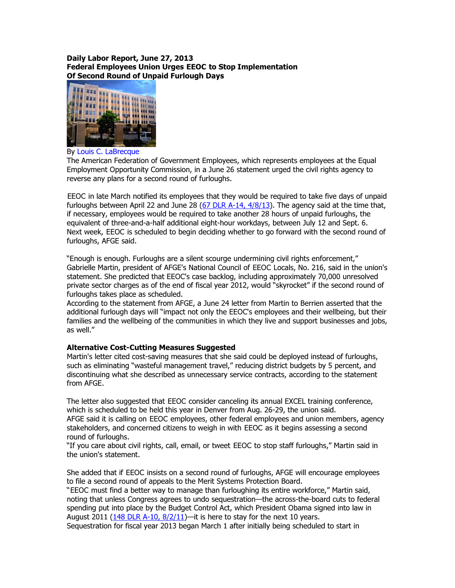## Daily Labor Report, June 27, 2013 Federal Employees Union Urges EEOC to Stop Implementation Of Second Round of Unpaid Furlough Days



By Louis C. LaBrecque

The American Federation of Government Employees, which represents employees at the Equal Employment Opportunity Commission, in a June 26 statement urged the civil rights agency to reverse any plans for a second round of furloughs.

EEOC in late March notified its employees that they would be required to take five days of unpaid furloughs between April 22 and June 28 (67 DLR A-14,  $4/8/13$ ). The agency said at the time that, if necessary, employees would be required to take another 28 hours of unpaid furloughs, the equivalent of three-and-a-half additional eight-hour workdays, between July 12 and Sept. 6. Next week, EEOC is scheduled to begin deciding whether to go forward with the second round of furloughs, AFGE said.

"Enough is enough. Furloughs are a silent scourge undermining civil rights enforcement," Gabrielle Martin, president of AFGE's National Council of EEOC Locals, No. 216, said in the union's statement. She predicted that EEOC's case backlog, including approximately 70,000 unresolved private sector charges as of the end of fiscal year 2012, would "skyrocket" if the second round of furloughs takes place as scheduled.

According to the statement from AFGE, a June 24 letter from Martin to Berrien asserted that the additional furlough days will "impact not only the EEOC's employees and their wellbeing, but their families and the wellbeing of the communities in which they live and support businesses and jobs, as well."

## Alternative Cost-Cutting Measures Suggested

Martin's letter cited cost-saving measures that she said could be deployed instead of furloughs, such as eliminating "wasteful management travel," reducing district budgets by 5 percent, and discontinuing what she described as unnecessary service contracts, according to the statement from AFGE.

The letter also suggested that EEOC consider canceling its annual EXCEL training conference, which is scheduled to be held this year in Denver from Aug. 26-29, the union said. AFGE said it is calling on EEOC employees, other federal employees and union members, agency stakeholders, and concerned citizens to weigh in with EEOC as it begins assessing a second round of furloughs.

"If you care about civil rights, call, email, or tweet EEOC to stop staff furloughs," Martin said in the union's statement.

She added that if EEOC insists on a second round of furloughs, AFGE will encourage employees to file a second round of appeals to the Merit Systems Protection Board.

"EEOC must find a better way to manage than furloughing its entire workforce," Martin said, noting that unless Congress agrees to undo sequestration—the across-the-board cuts to federal spending put into place by the Budget Control Act, which President Obama signed into law in August 2011 (148 DLR A-10,  $8/2/11$ )—it is here to stay for the next 10 years.

Sequestration for fiscal year 2013 began March 1 after initially being scheduled to start in